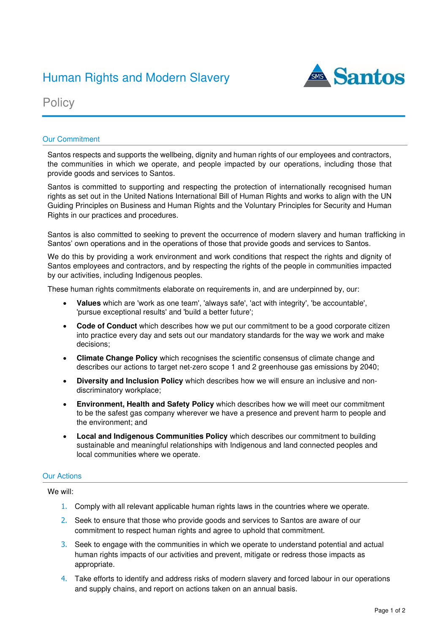# Human Rights and Modern Slavery **All Antions**



**Policy** 

## Our Commitment

Santos respects and supports the wellbeing, dignity and human rights of our employees and contractors, the communities in which we operate, and people impacted by our operations, including those that provide goods and services to Santos.

Santos is committed to supporting and respecting the protection of internationally recognised human rights as set out in the United Nations International Bill of Human Rights and works to align with the UN Guiding Principles on Business and Human Rights and the Voluntary Principles for Security and Human Rights in our practices and procedures.

Santos is also committed to seeking to prevent the occurrence of modern slavery and human trafficking in Santos' own operations and in the operations of those that provide goods and services to Santos.

We do this by providing a work environment and work conditions that respect the rights and dignity of Santos employees and contractors, and by respecting the rights of the people in communities impacted by our activities, including Indigenous peoples.

These human rights commitments elaborate on requirements in, and are underpinned by, our:

- **Values** which are 'work as one team', 'always safe', 'act with integrity', 'be accountable', 'pursue exceptional results' and 'build a better future';
- **Code of Conduct** which describes how we put our commitment to be a good corporate citizen into practice every day and sets out our mandatory standards for the way we work and make decisions;
- **Climate Change Policy** which recognises the scientific consensus of climate change and describes our actions to target net-zero scope 1 and 2 greenhouse gas emissions by 2040;
- **Diversity and Inclusion Policy** which describes how we will ensure an inclusive and nondiscriminatory workplace;
- **Environment, Health and Safety Policy** which describes how we will meet our commitment to be the safest gas company wherever we have a presence and prevent harm to people and the environment; and
- **Local and Indigenous Communities Policy** which describes our commitment to building sustainable and meaningful relationships with Indigenous and land connected peoples and local communities where we operate.

## Our Actions

We will:

- 1. Comply with all relevant applicable human rights laws in the countries where we operate.
- 2. Seek to ensure that those who provide goods and services to Santos are aware of our commitment to respect human rights and agree to uphold that commitment.
- 3. Seek to engage with the communities in which we operate to understand potential and actual human rights impacts of our activities and prevent, mitigate or redress those impacts as appropriate.
- 4. Take efforts to identify and address risks of modern slavery and forced labour in our operations and supply chains, and report on actions taken on an annual basis.